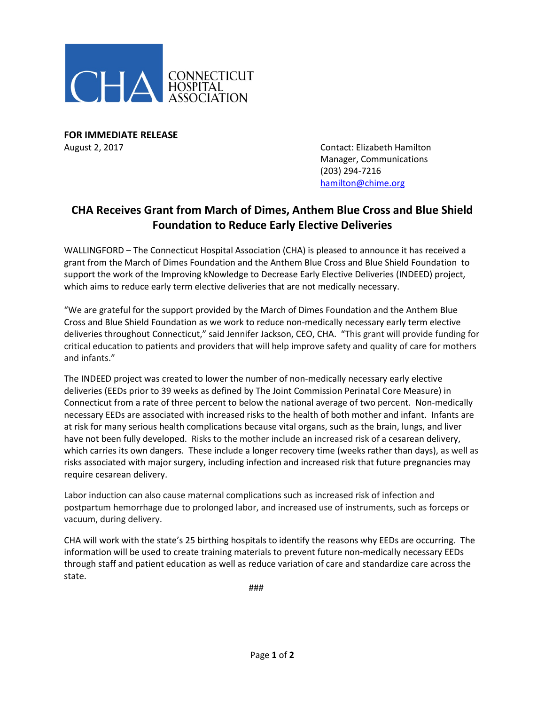

**FOR IMMEDIATE RELEASE** August 2, 2017 Contact: Elizabeth Hamilton

Manager, Communications (203) 294-7216 [hamilton@chime.org](mailto:hamilton@chime.org)

## **CHA Receives Grant from March of Dimes, Anthem Blue Cross and Blue Shield Foundation to Reduce Early Elective Deliveries**

WALLINGFORD – The Connecticut Hospital Association (CHA) is pleased to announce it has received a grant from the March of Dimes Foundation and the Anthem Blue Cross and Blue Shield Foundation to support the work of the Improving kNowledge to Decrease Early Elective Deliveries (INDEED) project, which aims to reduce early term elective deliveries that are not medically necessary.

"We are grateful for the support provided by the March of Dimes Foundation and the Anthem Blue Cross and Blue Shield Foundation as we work to reduce non-medically necessary early term elective deliveries throughout Connecticut," said Jennifer Jackson, CEO, CHA. "This grant will provide funding for critical education to patients and providers that will help improve safety and quality of care for mothers and infants."

The INDEED project was created to lower the number of non-medically necessary early elective deliveries (EEDs prior to 39 weeks as defined by The Joint Commission Perinatal Core Measure) in Connecticut from a rate of three percent to below the national average of two percent. Non-medically necessary EEDs are associated with increased risks to the health of both mother and infant. Infants are at risk for many serious health complications because vital organs, such as the brain, lungs, and liver have not been fully developed. Risks to the mother include an increased risk of a cesarean delivery, which carries its own dangers. These include a longer recovery time (weeks rather than days), as well as risks associated with major surgery, including infection and increased risk that future pregnancies may require cesarean delivery.

Labor induction can also cause maternal complications such as increased risk of infection and postpartum hemorrhage due to prolonged labor, and increased use of instruments, such as forceps or vacuum, during delivery.

CHA will work with the state's 25 birthing hospitals to identify the reasons why EEDs are occurring. The information will be used to create training materials to prevent future non-medically necessary EEDs through staff and patient education as well as reduce variation of care and standardize care across the state.

###